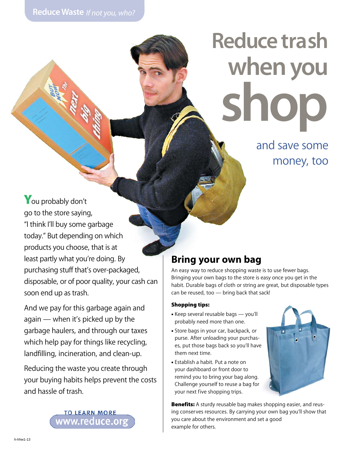# **Reduce trash when you shop**

and save some money, too

You probably don't go to the store saying, "I think I'll buy some garbage today." But depending on which products you choose, that is at least partly what you're doing. By purchasing stuff that's over-packaged, disposable, or of poor quality, your cash can soon end up as trash.

And we pay for this garbage again and again — when it's picked up by the garbage haulers, and through our taxes which help pay for things like recycling, landfilling, incineration, and clean-up.

Reducing the waste you create through your buying habits helps prevent the costs and hassle of trash.

**TO LEARN MORE** www.reduce.org

# **Bring your own bag**

An easy way to reduce shopping waste is to use fewer bags. Bringing your own bags to the store is easy once you get in the habit. Durable bags of cloth or string are great, but disposable types can be reused, too — bring back that sack!

#### Shopping tips:

- Keep several reusable bags you'll probably need more than one.
- Store bags in your car, backpack, or purse. After unloading your purchases, put those bags back so you'll have them next time.
- Establish a habit. Put a note on your dashboard or front door to remind you to bring your bag along. Challenge yourself to reuse a bag for your next five shopping trips.

**Benefits:** A sturdy reusable bag makes shopping easier, and reusing conserves resources. By carrying your own bag you'll show that you care about the environment and set a good example for others.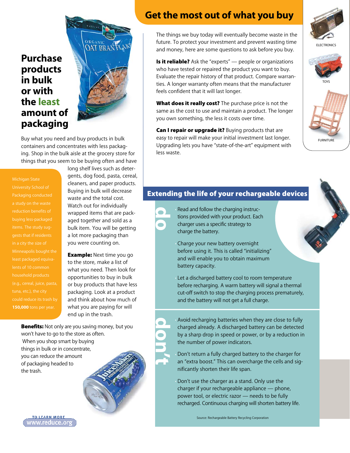## **Purchase products in bulk or with the least amount of packaging**



Buy what you need and buy products in bulk containers and concentrates with less packaging. Shop in the bulk aisle at the grocery store for things that you seem to be buying often and have

#### Michigan State

reduction benefits of buying less-packaged in a city the size of least packaged equivahousehold products **150,000** tons per year. gents, dog food, pasta, cereal, cleaners, and paper products. Buying in bulk will decrease waste and the total cost. Watch out for individually wrapped items that are packaged together and sold as a bulk item. You will be getting a lot more packaging than you were counting on.

long shelf lives such as deter-

**Example:** Next time you go to the store, make a list of what you need. Then look for opportunities to buy in bulk or buy products that have less packaging. Look at a product and think about how much of what you are paying for will end up in the trash.

**Benefits:** Not only are you saving money, but you won't have to go to the store as often. When you shop smart by buying things in bulk or in concentrate, you can reduce the amount of packaging headed to the trash.

#### **Get the most out of what you buy**

The things we buy today will eventually become waste in the future. To protect your investment and prevent wasting time and money, here are some questions to ask before you buy.

**Is it reliable?** Ask the "experts"  $\rightarrow$  people or organizations who have tested or repaired the product you want to buy. Evaluate the repair history of that product. Compare warranties. A longer warranty often means that the manufacturer feels confident that it will last longer.

What does it really cost? The purchase price is not the same as the cost to use and maintain a product. The longer you own something, the less it costs over time.

Can I repair or upgrade it? Buying products that are easy to repair will make your initial investment last longer. Upgrading lets you have "state-of-the-art" equipment with less waste.



**ELECTRONICS** 





#### Extending the life of your rechargeable devices

• Read and follow the charging instructions provided with your product. Each charger uses a specific strategy to charge the battery.

**do**

**don't**

• Charge your new battery overnight before using it. This is called "initializing" and will enable you to obtain maximum battery capacity.

Let a discharged battery cool to room temperature before recharging. A warm battery will signal a thermal cut-off switch to stop the charging process prematurely, and the battery will not get a full charge.

• Avoid recharging batteries when they are close to fully charged already. A discharged battery can be detected by a sharp drop in speed or power, or by a reduction in the number of power indicators.

• Don't return a fully charged battery to the charger for an "extra boost." This can overcharge the cells and significantly shorten their life span.

• Don't use the charger as a stand. Only use the charger if your rechargeable appliance — phone, power tool, or electric razor — needs to be fully recharged. Continuous charging will shorten battery life.

Source: Rechargeable Battery Recycling Corporation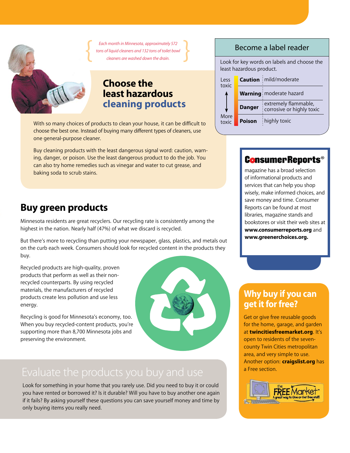*Each month in Minnesota, approximately 572 tons of liquid cleaners and 132 tons of toilet bowl* { } *cleaners are washed down the drain.*



### **Choose the least hazardous cleaning products**

With so many choices of products to clean your house, it can be difficult to choose the best one. Instead of buying many different types of cleaners, use one general-purpose cleaner.

Buy cleaning products with the least dangerous signal word: caution, warning, danger, or poison. Use the least dangerous product to do the job. You can also try home remedies such as vinegar and water to cut grease, and baking soda to scrub stains.

# **Buy green products**

Minnesota residents are great recyclers. Our recycling rate is consistently among the highest in the nation. Nearly half (47%) of what we discard is recycled.

But there's more to recycling than putting your newspaper, glass, plastics, and metals out on the curb each week. Consumers should look for recycled content in the products they buy.

Recycled products are high-quality, proven products that perform as well as their nonrecycled counterparts. By using recycled materials, the manufacturers of recycled products create less pollution and use less energy.

Recycling is good for Minnesota's economy, too. When you buy recycled-content products, you're supporting more than 8,700 Minnesota jobs and preserving the environment.



Look for something in your home that you rarely use. Did you need to buy it or could you have rented or borrowed it? Is it durable? Will you have to buy another one again if it fails? By asking yourself these questions you can save yourself money and time by only buying items you really need.

#### Become a label reader

Look for key words on labels and choose the least hazardous product.

| Less<br>toxic |               | <b>Caution</b> : mild/moderate                      |
|---------------|---------------|-----------------------------------------------------|
|               |               | Warning: moderate hazard                            |
|               | <b>Danger</b> | : extremely flammable,<br>corrosive or highly toxic |
| More<br>toxic | Poison        | highly toxic                                        |

# **ConsumerReports<sup>®</sup>**

magazine has a broad selection of informational products and services that can help you shop wisely, make informed choices, and save money and time. Consumer Reports can be found at most libraries, magazine stands and bookstores or visit their web sites at **www.consumerreports.org** and **www.greenerchoices.org.**

## **Why buy if you can get it for free?**

Get or give free reusable goods for the home, garage, and garden at **twincitiesfreemarket.org**. It's open to residents of the sevencounty Twin Cities metropolitan area, and very simple to use. Another option: **craigslist.org** has a Free section.